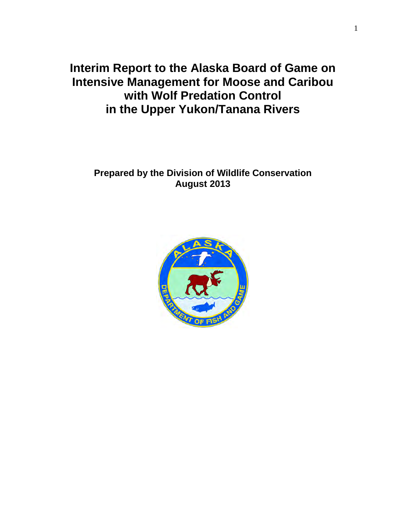**Interim Report to the Alaska Board of Game on Intensive Management for Moose and Caribou with Wolf Predation Control in the Upper Yukon/Tanana Rivers** 

# **Prepared by the Division of Wildlife Conservation August 2013**

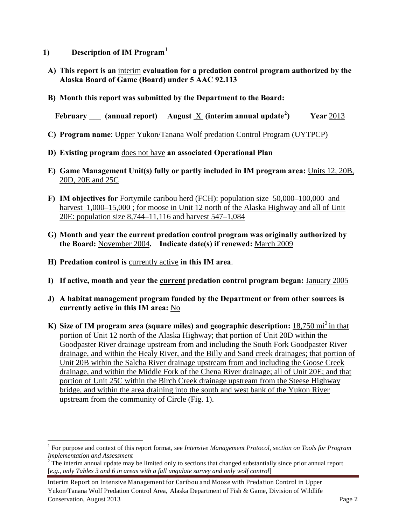- **1) Description of IM Program[1](#page-1-0)**
- **A) This report is an** interim **evaluation for a predation control program authorized by the Alaska Board of Game (Board) under 5 AAC 92.113**
- **B) Month this report was submitted by the Department to the Board:**

**February \_\_\_ (annual report) August** X **(interim annual update[2](#page-1-1) ) Year** 2013

- **C) Program name**: Upper Yukon/Tanana Wolf predation Control Program (UYTPCP)
- **D) Existing program** does not have **an associated Operational Plan**
- **E) Game Management Unit(s) fully or partly included in IM program area:** Units 12, 20B, 20D, 20E and 25C
- **F) IM objectives for** Fortymile caribou herd (FCH): population size 50,000–100,000 and harvest 1,000–15,000; for moose in Unit 12 north of the Alaska Highway and all of Unit 20E: population size 8,744–11,116 and harvest 547–1,084
- **G) Month and year the current predation control program was originally authorized by the Board:** November 2004**. Indicate date(s) if renewed:** March 2009
- **H) Predation control is** currently active **in this IM area**.

 $\overline{a}$ 

- **I) If active, month and year the current predation control program began:** January 2005
- **J) A habitat management program funded by the Department or from other sources is currently active in this IM area:** No
- **K)** Size of IM program area (square miles) and geographic description: 18,750 mi<sup>2</sup> in that portion of Unit 12 north of the Alaska Highway; that portion of Unit 20D within the Goodpaster River drainage upstream from and including the South Fork Goodpaster River drainage, and within the Healy River, and the Billy and Sand creek drainages; that portion of Unit 20B within the Salcha River drainage upstream from and including the Goose Creek drainage, and within the Middle Fork of the Chena River drainage; all of Unit 20E; and that portion of Unit 25C within the Birch Creek drainage upstream from the Steese Highway bridge, and within the area draining into the south and west bank of the Yukon River upstream from the community of Circle (Fig. 1).

<span id="page-1-0"></span><sup>&</sup>lt;sup>1</sup> For purpose and context of this report format, see *Intensive Management Protocol, section on Tools for Program Implementation and Assessment* 

<span id="page-1-1"></span><sup>&</sup>lt;sup>2</sup> The interim annual update may be limited only to sections that changed substantially since prior annual report [*e.g., only Tables 3 and 6 in areas with a fall ungulate survey and only wolf control*]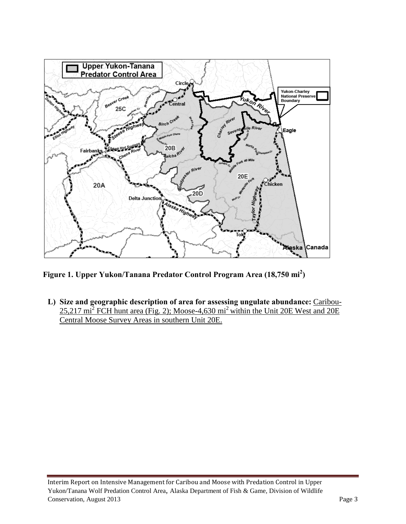

**Figure 1. Upper Yukon/Tanana Predator Control Program Area (18,750 mi<sup>2</sup> )** 

**L) Size and geographic description of area for assessing ungulate abundance:** Caribou- $25,217 \text{ mi}^2$  FCH hunt area (Fig. 2); Moose-4,630 mi<sup>2</sup> within the Unit 20E West and 20E Central Moose Survey Areas in southern Unit 20E.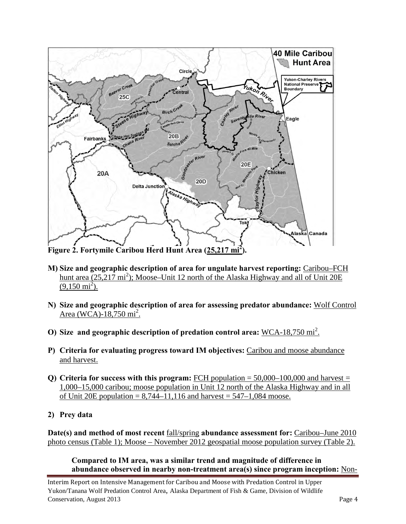

**Figure 2. Fortymile Caribou Herd Hunt Area (25,217 mi<sup>2</sup> ).** 

- **M) Size and geographic description of area for ungulate harvest reporting:** Caribou–FCH hunt area (25,217 mi<sup>2</sup>); Moose–Unit 12 north of the Alaska Highway and all of Unit 20E  $(9,150 \text{ mi}^2)$ .
- **N) Size and geographic description of area for assessing predator abundance:** Wolf Control Area (WCA)-18,750 mi<sup>2</sup>.
- **O)** Size and geographic description of predation control area:  $\underline{WCA-18,750 \text{ mi}^2}$ .
- **P) Criteria for evaluating progress toward IM objectives:** Caribou and moose abundance and harvest.
- **Q)** Criteria for success with this program: FCH population  $= 50,000-100,000$  and harvest  $=$ 1,000–15,000 caribou; moose population in Unit 12 north of the Alaska Highway and in all of Unit 20E population =  $8,744-11,116$  and harvest =  $547-1,084$  moose.
- **2) Prey data**

**Date(s) and method of most recent** fall/spring **abundance assessment for:** Caribou–June 2010 photo census (Table 1); Moose – November 2012 geospatial moose population survey (Table 2).

**Compared to IM area, was a similar trend and magnitude of difference in abundance observed in nearby non-treatment area(s) since program inception:** Non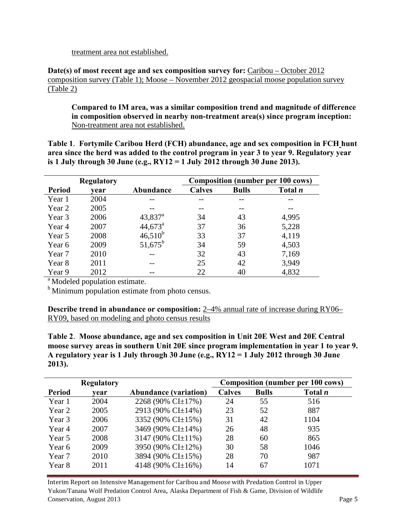treatment area not established.

**Date(s) of most recent age and sex composition survey for:** Caribou – October 2012 composition survey (Table 1); Moose – November 2012 geospacial moose population survey (Table 2)

**Compared to IM area, was a similar composition trend and magnitude of difference in composition observed in nearby non-treatment area(s) since program inception:** Non-treatment area not established.

**Table 1**. **Fortymile Caribou Herd (FCH) abundance, age and sex composition in FCH hunt area since the herd was added to the control program in year 3 to year 9. Regulatory year is 1 July through 30 June (e.g., RY12 = 1 July 2012 through 30 June 2013).**

| <b>Regulatory</b> |      |                       | <b>Composition (number per 100 cows)</b> |              |                |  |  |
|-------------------|------|-----------------------|------------------------------------------|--------------|----------------|--|--|
| <b>Period</b>     | vear | Abundance             | <b>Calves</b>                            | <b>Bulls</b> | Total <i>n</i> |  |  |
| Year 1            | 2004 |                       |                                          |              |                |  |  |
| Year 2            | 2005 |                       |                                          |              |                |  |  |
| Year 3            | 2006 | $43,837$ <sup>a</sup> | 34                                       | 43           | 4,995          |  |  |
| Year 4            | 2007 | $44,673^{\circ}$      | 37                                       | 36           | 5,228          |  |  |
| Year 5            | 2008 | $46,510^{b}$          | 33                                       | 37           | 4,119          |  |  |
| Year 6            | 2009 | $51,675^{\rm b}$      | 34                                       | 59           | 4,503          |  |  |
| Year 7            | 2010 |                       | 32                                       | 43           | 7,169          |  |  |
| Year 8            | 2011 |                       | 25                                       | 42           | 3,949          |  |  |
| Year 9            | 2012 |                       | 22                                       | 40           | 4,832          |  |  |

<sup>a</sup> Modeled population estimate.

<sup>b</sup> Minimum population estimate from photo census.

**Describe trend in abundance or composition:** 2–4% annual rate of increase during RY06– RY09, based on modeling and photo census results

**Table 2**. **Moose abundance, age and sex composition in Unit 20E West and 20E Central moose survey areas in southern Unit 20E since program implementation in year 1 to year 9. A regulatory year is 1 July through 30 June (e.g., RY12 = 1 July 2012 through 30 June 2013).** 

|               | <b>Regulatory</b> |                              |               | <b>Composition (number per 100 cows)</b> |           |  |  |
|---------------|-------------------|------------------------------|---------------|------------------------------------------|-----------|--|--|
| <b>Period</b> | vear              | <b>Abundance (variation)</b> | <b>Calves</b> | <b>Bulls</b>                             | Total $n$ |  |  |
| Year 1        | 2004              | 2268 (90% CI±17%)            | 24            | 55                                       | 516       |  |  |
| Year 2        | 2005              | 2913 (90% CI±14%)            | 23            | 52                                       | 887       |  |  |
| Year 3        | 2006              | 3352 (90% CI±15%)            | 31            | 42                                       | 1104      |  |  |
| Year 4        | 2007              | 3469 (90% CI±14%)            | 26            | 48                                       | 935       |  |  |
| Year 5        | 2008              | 3147 (90% CI $\pm$ 11%)      | 28            | 60                                       | 865       |  |  |
| Year 6        | 2009              | 3950 (90% CI±12%)            | 30            | 58                                       | 1046      |  |  |
| Year 7        | 2010              | 3894 (90% CI±15%)            | 28            | 70                                       | 987       |  |  |
| Year 8        | 2011              | 4148 (90% CI $\pm$ 16%)      | 14            | 67                                       | 1071      |  |  |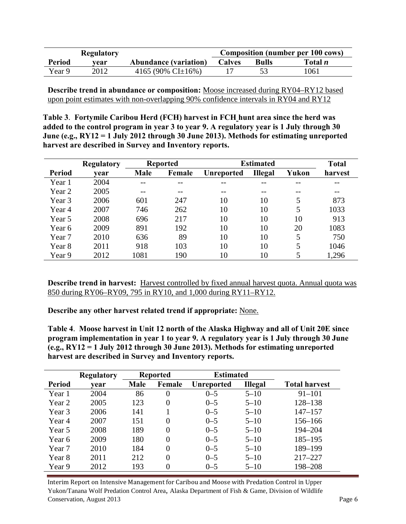|               | <b>Regulatory</b> |                              | <b>Composition (number per 100 cows)</b> |              |                |
|---------------|-------------------|------------------------------|------------------------------------------|--------------|----------------|
| <b>Period</b> | vear              | <b>Abundance (variation)</b> | <b>Calves</b>                            | <b>Bulls</b> | Total <i>n</i> |
| Year 9        | 2012              | 4165 (90% CI $\pm$ 16%)      |                                          |              | 1061           |

**Describe trend in abundance or composition:** Moose increased during RY04–RY12 based upon point estimates with non-overlapping 90% confidence intervals in RY04 and RY12

**Table 3**. **Fortymile Caribou Herd (FCH) harvest in FCH hunt area since the herd was added to the control program in year 3 to year 9. A regulatory year is 1 July through 30 June (e.g., RY12 = 1 July 2012 through 30 June 2013). Methods for estimating unreported harvest are described in Survey and Inventory reports.** 

|               | <b>Regulatory</b> |             | <b>Reported</b> | <b>Estimated</b>  |                |       | <b>Total</b> |
|---------------|-------------------|-------------|-----------------|-------------------|----------------|-------|--------------|
| <b>Period</b> | vear              | <b>Male</b> | Female          | <b>Unreported</b> | <b>Illegal</b> | Yukon | harvest      |
| Year 1        | 2004              |             |                 |                   |                |       |              |
| Year 2        | 2005              |             | --              |                   | --             |       | $- -$        |
| Year 3        | 2006              | 601         | 247             | 10                | 10             | 5     | 873          |
| Year 4        | 2007              | 746         | 262             | 10                | 10             | 5     | 1033         |
| Year 5        | 2008              | 696         | 217             | 10                | 10             | 10    | 913          |
| Year 6        | 2009              | 891         | 192             | 10                | 10             | 20    | 1083         |
| Year 7        | 2010              | 636         | 89              | 10                | 10             | 5     | 750          |
| Year 8        | 2011              | 918         | 103             | 10                | 10             | 5     | 1046         |
| Year 9        | 2012              | 1081        | 190             | 10                | 10             | 5     | 1,296        |

**Describe trend in harvest:** Harvest controlled by fixed annual harvest quota. Annual quota was 850 during RY06–RY09, 795 in RY10, and 1,000 during RY11–RY12.

**Describe any other harvest related trend if appropriate:** None.

**Table 4**. **Moose harvest in Unit 12 north of the Alaska Highway and all of Unit 20E since program implementation in year 1 to year 9. A regulatory year is 1 July through 30 June (e.g., RY12 = 1 July 2012 through 30 June 2013). Methods for estimating unreported harvest are described in Survey and Inventory reports.**

|               | <b>Regulatory</b> |             | <b>Reported</b> | <b>Estimated</b>  |                |                      |
|---------------|-------------------|-------------|-----------------|-------------------|----------------|----------------------|
| <b>Period</b> | vear              | <b>Male</b> | Female          | <b>Unreported</b> | <b>Illegal</b> | <b>Total harvest</b> |
| Year 1        | 2004              | 86          | $\overline{0}$  | $0 - 5$           | $5 - 10$       | $91 - 101$           |
| Year 2        | 2005              | 123         | $\Omega$        | $0 - 5$           | $5 - 10$       | 128-138              |
| Year 3        | 2006              | 141         |                 | $0 - 5$           | $5 - 10$       | $147 - 157$          |
| Year 4        | 2007              | 151         | $\theta$        | $0 - 5$           | $5 - 10$       | $156 - 166$          |
| Year 5        | 2008              | 189         | $\Omega$        | $0 - 5$           | $5 - 10$       | 194-204              |
| Year 6        | 2009              | 180         | $\theta$        | $0 - 5$           | $5 - 10$       | $185 - 195$          |
| Year 7        | 2010              | 184         | $\theta$        | $0 - 5$           | $5 - 10$       | 189-199              |
| Year 8        | 2011              | 212         | $\theta$        | $0 - 5$           | $5 - 10$       | $217 - 227$          |
| Year 9        | 2012              | 193         | 0               | $0 - 5$           | $5 - 10$       | 198-208              |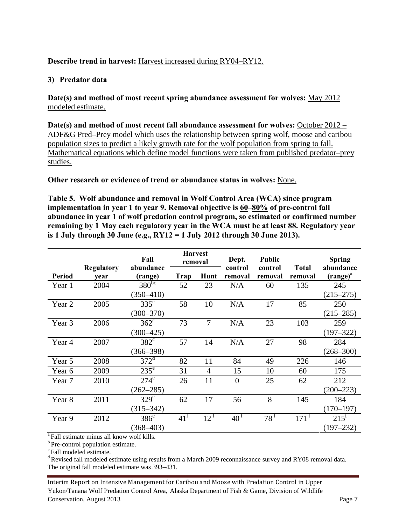## **Describe trend in harvest:** Harvest increased during RY04–RY12.

## **3) Predator data**

**Date(s) and method of most recent spring abundance assessment for wolves:** May 2012 modeled estimate.

**Date(s) and method of most recent fall abundance assessment for wolves:** October 2012 – ADF&G Pred–Prey model which uses the relationship between spring wolf, moose and caribou population sizes to predict a likely growth rate for the wolf population from spring to fall. Mathematical equations which define model functions were taken from published predator–prey studies.

**Other research or evidence of trend or abundance status in wolves:** None.

**Table 5. Wolf abundance and removal in Wolf Control Area (WCA) since program implementation in year 1 to year 9. Removal objective is 60–80% of pre-control fall abundance in year 1 of wolf predation control program, so estimated or confirmed number remaining by 1 May each regulatory year in the WCA must be at least 88. Regulatory year is 1 July through 30 June (e.g., RY12 = 1 July 2012 through 30 June 2013).** 

|               |                   |                    | <b>Harvest</b><br>Fall<br>removal |                 | Dept.           | Public       |                    | <b>Spring</b>      |
|---------------|-------------------|--------------------|-----------------------------------|-----------------|-----------------|--------------|--------------------|--------------------|
|               | <b>Regulatory</b> | abundance          |                                   |                 | control         | control      | <b>Total</b>       | abundance          |
| <b>Period</b> | vear              | (range)            | Trap                              | Hunt            | removal         | removal      | removal            | $(range)^{a}$      |
| Year 1        | 2004              | $380^{bc}$         | 52                                | 23              | N/A             | 60           | 135                | 245                |
|               |                   | $(350 - 410)$      |                                   |                 |                 |              |                    | $(215 - 275)$      |
| Year 2        | 2005              | $335^{\circ}$      | 58                                | 10              | N/A             | 17           | 85                 | 250                |
|               |                   | $(300 - 370)$      |                                   |                 |                 |              |                    | $(215 - 285)$      |
| Year 3        | 2006              | $362^{\circ}$      | 73                                | $\overline{7}$  | N/A             | 23           | 103                | 259                |
|               |                   | $(300 - 425)$      |                                   |                 |                 |              |                    | $(197 - 322)$      |
| Year 4        | 2007              | $382^{\circ}$      | 57                                | 14              | N/A             | 27           | 98                 | 284                |
|               |                   | $(366 - 398)$      |                                   |                 |                 |              |                    | $(268 - 300)$      |
| Year 5        | 2008              | $372^{\mathrm{d}}$ | 82                                | 11              | 84              | 49           | 226                | 146                |
| Year 6        | 2009              | $235^{\circ}$      | 31                                | 4               | 15              | 10           | 60                 | 175                |
| Year 7        | 2010              | $274^{\circ}$      | 26                                | 11              | $\overline{0}$  | 25           | 62                 | 212                |
|               |                   | $(262 - 285)$      |                                   |                 |                 |              |                    | $(200 - 223)$      |
| Year 8        | 2011              | $329^\circ$        | 62                                | 17              | 56              | 8            | 145                | 184                |
|               |                   | $(315 - 342)$      |                                   |                 |                 |              |                    | $(170 - 197)$      |
| Year 9        | 2012              | $386^{\circ}$      | $41^{\mathrm{f}}$                 | $12^{\text{f}}$ | 40 <sup>f</sup> | $78^{\rm f}$ | $171$ <sup>T</sup> | $215$ <sup>f</sup> |
|               |                   | $(368 - 403)$      |                                   |                 |                 |              |                    | $(197 - 232)$      |
| $\sim -1$     |                   |                    |                                   |                 |                 |              |                    |                    |

Fall estimate minus all know wolf kills.

 $\rm ^{b}$  Pre-control population estimate.  $\rm ^{c}$  Fall modeled estimate.

<sup>d</sup> Revised fall modeled estimate using results from a March 2009 reconnaissance survey and RY08 removal data. The original fall modeled estimate was 393–431.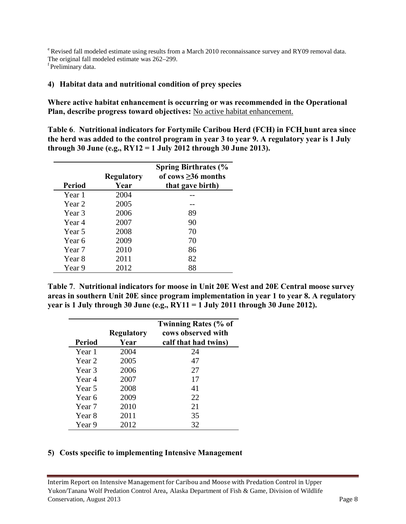<sup>e</sup> Revised fall modeled estimate using results from a March 2010 reconnaissance survey and RY09 removal data. The original fall modeled estimate was  $262-299$ .<br><sup>f</sup>Preliminary data.

### **4) Habitat data and nutritional condition of prey species**

**Where active habitat enhancement is occurring or was recommended in the Operational Plan, describe progress toward objectives:** No active habitat enhancement.

**Table 6**. **Nutritional indicators for Fortymile Caribou Herd (FCH) in FCH hunt area since the herd was added to the control program in year 3 to year 9. A regulatory year is 1 July through 30 June (e.g., RY12 = 1 July 2012 through 30 June 2013).**

|               | <b>Regulatory</b> | <b>Spring Birthrates (%</b><br>of cows $\geq$ 36 months |
|---------------|-------------------|---------------------------------------------------------|
| <b>Period</b> | Year              | that gave birth)                                        |
| Year 1        | 2004              |                                                         |
| Year 2        | 2005              |                                                         |
| Year 3        | 2006              | 89                                                      |
| Year 4        | 2007              | 90                                                      |
| Year 5        | 2008              | 70                                                      |
| Year 6        | 2009              | 70                                                      |
| Year 7        | 2010              | 86                                                      |
| Year 8        | 2011              | 82                                                      |
| Year 9        | 2012              | 88                                                      |

**Table 7**. **Nutritional indicators for moose in Unit 20E West and 20E Central moose survey areas in southern Unit 20E since program implementation in year 1 to year 8. A regulatory year is 1 July through 30 June (e.g., RY11 = 1 July 2011 through 30 June 2012).**

|                   | <b>Regulatory</b> | <b>Twinning Rates (% of</b><br>cows observed with |
|-------------------|-------------------|---------------------------------------------------|
| <b>Period</b>     | Year              | calf that had twins)                              |
| Year 1            | 2004              | 24                                                |
| Year 2            | 2005              | 47                                                |
| Year 3            | 2006              | 27                                                |
| Year 4            | 2007              | 17                                                |
| Year 5            | 2008              | 41                                                |
| Year 6            | 2009              | 22                                                |
| Year <sub>7</sub> | 2010              | 21                                                |
| Year 8            | 2011              | 35                                                |
| Year 9            | 2012              | 32                                                |

### **5) Costs specific to implementing Intensive Management**